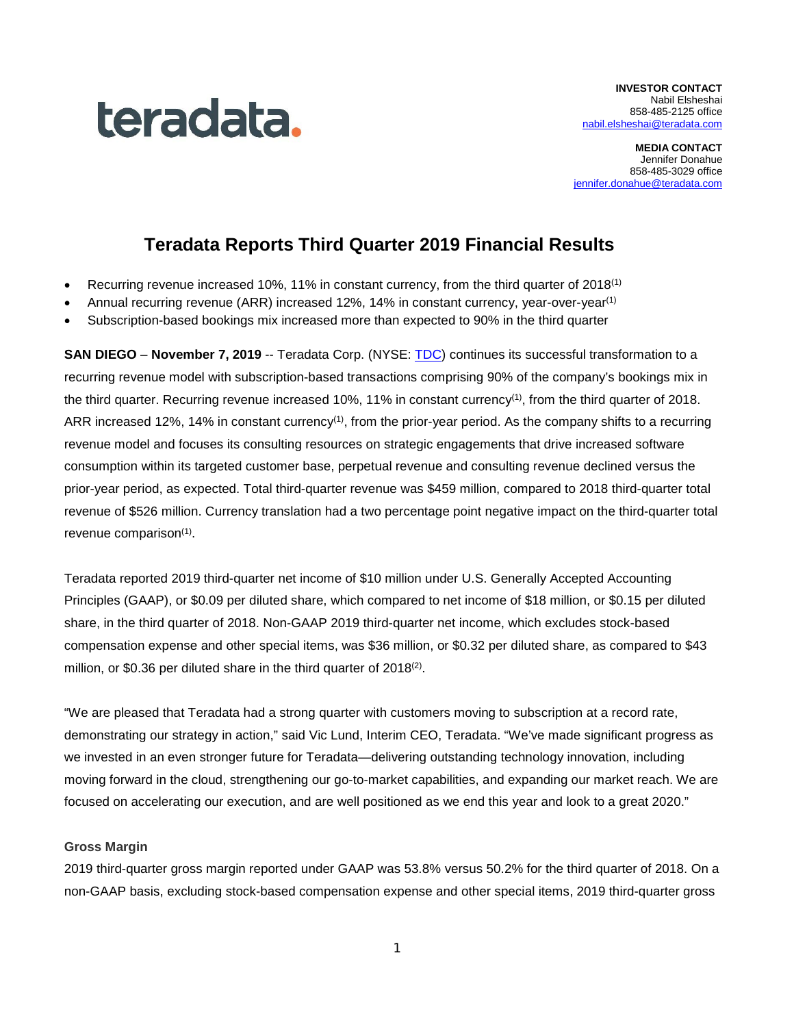

**MEDIA CONTACT** Jennifer Donahue 858-485-3029 office [jennifer.donahue@teradata.com](mailto:jennifer.donahue@teradata.com)

# **Teradata Reports Third Quarter 2019 Financial Results**

- Recurring revenue increased 10%, 11% in constant currency, from the third quarter of 2018<sup>(1)</sup>
- Annual recurring revenue (ARR) increased 12%, 14% in constant currency, year-over-year<sup>(1)</sup>
- Subscription-based bookings mix increased more than expected to 90% in the third quarter

**SAN DIEGO** – **November 7, 2019** -- Teradata Corp. (NYSE: [TDC\)](http://investor.teradata.com/about-teradata/default.aspx) continues its successful transformation to a recurring revenue model with subscription-based transactions comprising 90% of the company's bookings mix in the third quarter. Recurring revenue increased 10%, 11% in constant currency<sup>(1)</sup>, from the third quarter of 2018. ARR increased 12%, 14% in constant currency<sup>(1)</sup>, from the prior-year period. As the company shifts to a recurring revenue model and focuses its consulting resources on strategic engagements that drive increased software consumption within its targeted customer base, perpetual revenue and consulting revenue declined versus the prior-year period, as expected. Total third-quarter revenue was \$459 million, compared to 2018 third-quarter total revenue of \$526 million. Currency translation had a two percentage point negative impact on the third-quarter total revenue comparison<sup>(1)</sup>.

Teradata reported 2019 third-quarter net income of \$10 million under U.S. Generally Accepted Accounting Principles (GAAP), or \$0.09 per diluted share, which compared to net income of \$18 million, or \$0.15 per diluted share, in the third quarter of 2018. Non-GAAP 2019 third-quarter net income, which excludes stock-based compensation expense and other special items, was \$36 million, or \$0.32 per diluted share, as compared to \$43 million, or \$0.36 per diluted share in the third quarter of 2018<sup>(2)</sup>.

"We are pleased that Teradata had a strong quarter with customers moving to subscription at a record rate, demonstrating our strategy in action," said Vic Lund, Interim CEO, Teradata. "We've made significant progress as we invested in an even stronger future for Teradata—delivering outstanding technology innovation, including moving forward in the cloud, strengthening our go-to-market capabilities, and expanding our market reach. We are focused on accelerating our execution, and are well positioned as we end this year and look to a great 2020."

### **Gross Margin**

2019 third-quarter gross margin reported under GAAP was 53.8% versus 50.2% for the third quarter of 2018. On a non-GAAP basis, excluding stock-based compensation expense and other special items, 2019 third-quarter gross

1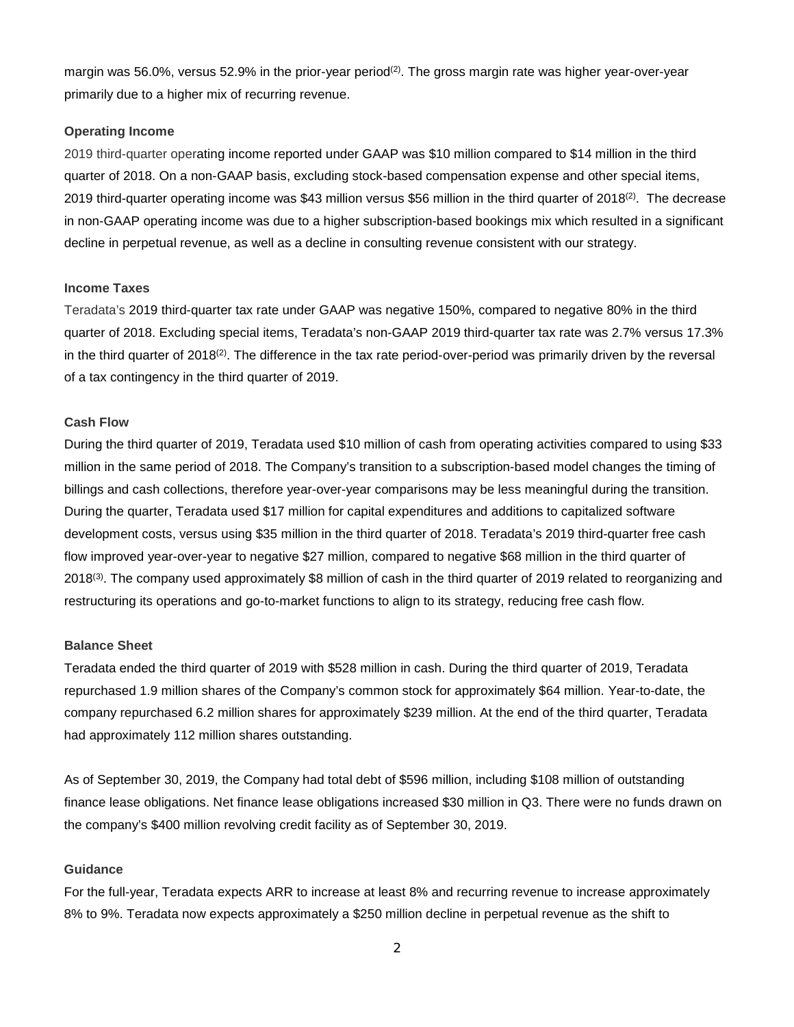margin was 56.0%, versus 52.9% in the prior-year period<sup>(2)</sup>. The gross margin rate was higher year-over-year primarily due to a higher mix of recurring revenue.

# **Operating Income**

2019 third-quarter operating income reported under GAAP was \$10 million compared to \$14 million in the third quarter of 2018. On a non-GAAP basis, excluding stock-based compensation expense and other special items, 2019 third-quarter operating income was \$43 million versus \$56 million in the third quarter of 2018<sup>(2)</sup>. The decrease in non-GAAP operating income was due to a higher subscription-based bookings mix which resulted in a significant decline in perpetual revenue, as well as a decline in consulting revenue consistent with our strategy.

# **Income Taxes**

Teradata's 2019 third-quarter tax rate under GAAP was negative 150%, compared to negative 80% in the third quarter of 2018. Excluding special items, Teradata's non-GAAP 2019 third-quarter tax rate was 2.7% versus 17.3% in the third quarter of  $2018^{(2)}$ . The difference in the tax rate period-over-period was primarily driven by the reversal of a tax contingency in the third quarter of 2019.

# **Cash Flow**

During the third quarter of 2019, Teradata used \$10 million of cash from operating activities compared to using \$33 million in the same period of 2018. The Company's transition to a subscription-based model changes the timing of billings and cash collections, therefore year-over-year comparisons may be less meaningful during the transition. During the quarter, Teradata used \$17 million for capital expenditures and additions to capitalized software development costs, versus using \$35 million in the third quarter of 2018. Teradata's 2019 third-quarter free cash flow improved year-over-year to negative \$27 million, compared to negative \$68 million in the third quarter of 2018<sup>(3)</sup>. The company used approximately \$8 million of cash in the third quarter of 2019 related to reorganizing and restructuring its operations and go-to-market functions to align to its strategy, reducing free cash flow.

### **Balance Sheet**

Teradata ended the third quarter of 2019 with \$528 million in cash. During the third quarter of 2019, Teradata repurchased 1.9 million shares of the Company's common stock for approximately \$64 million. Year-to-date, the company repurchased 6.2 million shares for approximately \$239 million. At the end of the third quarter, Teradata had approximately 112 million shares outstanding.

As of September 30, 2019, the Company had total debt of \$596 million, including \$108 million of outstanding finance lease obligations. Net finance lease obligations increased \$30 million in Q3. There were no funds drawn on the company's \$400 million revolving credit facility as of September 30, 2019.

# **Guidance**

For the full-year, Teradata expects ARR to increase at least 8% and recurring revenue to increase approximately 8% to 9%. Teradata now expects approximately a \$250 million decline in perpetual revenue as the shift to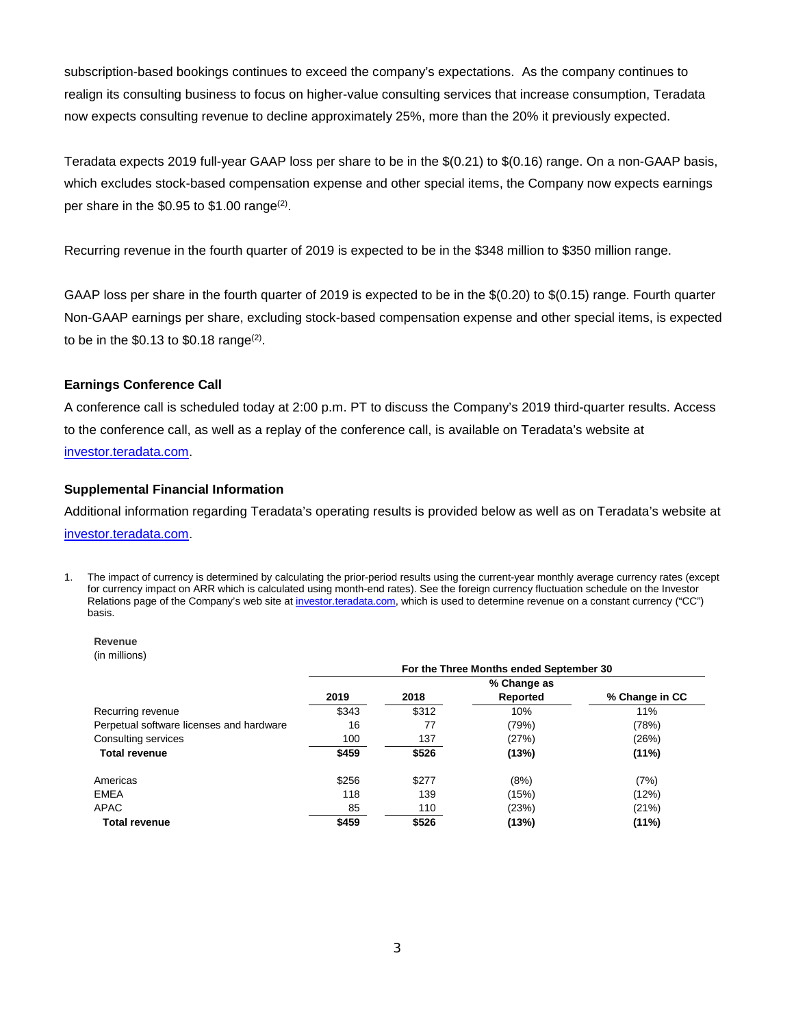subscription-based bookings continues to exceed the company's expectations. As the company continues to realign its consulting business to focus on higher-value consulting services that increase consumption, Teradata now expects consulting revenue to decline approximately 25%, more than the 20% it previously expected.

Teradata expects 2019 full-year GAAP loss per share to be in the \$(0.21) to \$(0.16) range. On a non-GAAP basis, which excludes stock-based compensation expense and other special items, the Company now expects earnings per share in the \$0.95 to \$1.00 range<sup>(2)</sup>.

Recurring revenue in the fourth quarter of 2019 is expected to be in the \$348 million to \$350 million range.

GAAP loss per share in the fourth quarter of 2019 is expected to be in the \$(0.20) to \$(0.15) range. Fourth quarter Non-GAAP earnings per share, excluding stock-based compensation expense and other special items, is expected to be in the  $$0.13$  to  $$0.18$  range<sup>(2)</sup>.

# **Earnings Conference Call**

A conference call is scheduled today at 2:00 p.m. PT to discuss the Company's 2019 third-quarter results. Access to the conference call, as well as a replay of the conference call, is available on Teradata's website at [investor.teradata.com.](http://investor.teradata.com/about-teradata/default.aspx#top)

# **Supplemental Financial Information**

Additional information regarding Teradata's operating results is provided below as well as on Teradata's website at [investor.teradata.com.](https://investor.teradata.com/)

1. The impact of currency is determined by calculating the prior-period results using the current-year monthly average currency rates (except for currency impact on ARR which is calculated using month-end rates). See the foreign currency fluctuation schedule on the Investor Relations page of the Company's web site a[t investor.teradata.com,](http://investor.teradata.com/about-teradata/default.aspx#top) which is used to determine revenue on a constant currency ("CC") basis.

#### **Revenue** (in millions)

|                                          | For the Three Months ended September 30 |       |          |                |  |  |  |  |  |  |
|------------------------------------------|-----------------------------------------|-------|----------|----------------|--|--|--|--|--|--|
|                                          | % Change as                             |       |          |                |  |  |  |  |  |  |
|                                          | 2019                                    | 2018  | Reported | % Change in CC |  |  |  |  |  |  |
| Recurring revenue                        | \$343                                   | \$312 | 10%      | 11%            |  |  |  |  |  |  |
| Perpetual software licenses and hardware | 16                                      | 77    | (79%)    | (78%)          |  |  |  |  |  |  |
| Consulting services                      | 100                                     | 137   | (27%)    | (26%)          |  |  |  |  |  |  |
| <b>Total revenue</b>                     | \$459                                   | \$526 | (13%)    | (11%)          |  |  |  |  |  |  |
| Americas                                 | \$256                                   | \$277 | (8%)     | (7%)           |  |  |  |  |  |  |
| EMEA                                     | 118                                     | 139   | (15%)    | (12%)          |  |  |  |  |  |  |
| APAC                                     | 85                                      | 110   | (23%)    | (21%)          |  |  |  |  |  |  |
| <b>Total revenue</b>                     | \$459                                   | \$526 | (13%)    | $(11\%)$       |  |  |  |  |  |  |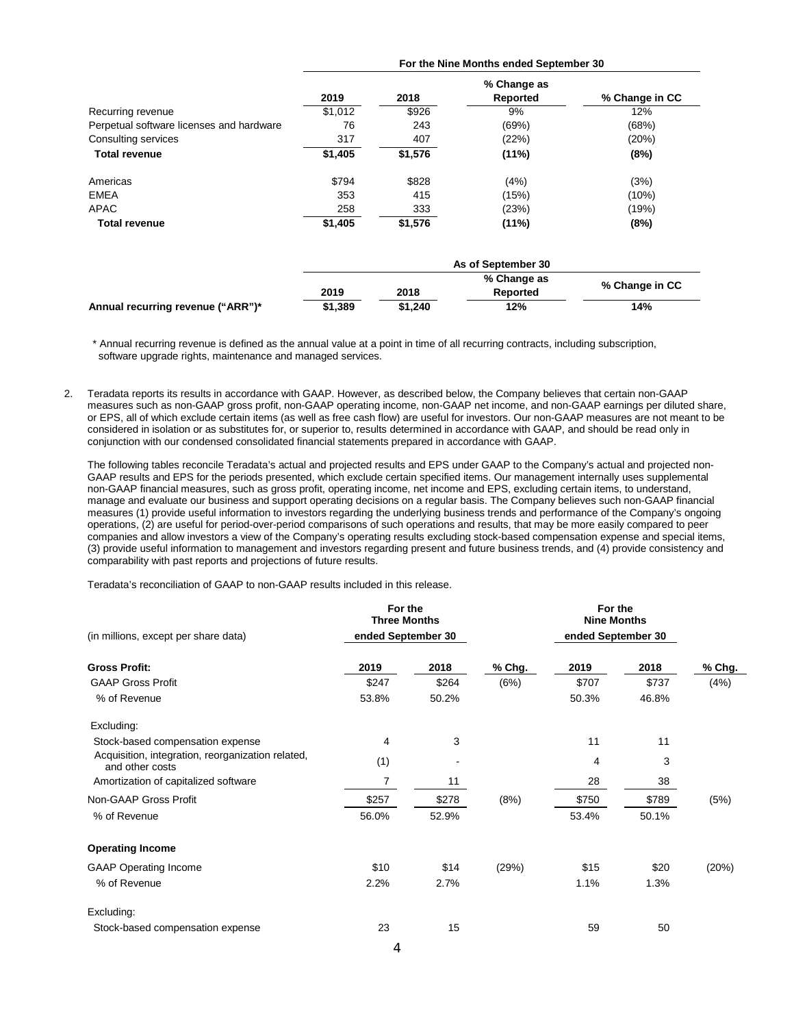|                                          | For the Nine Months ended September 30 |         |                                |                |  |  |  |  |  |
|------------------------------------------|----------------------------------------|---------|--------------------------------|----------------|--|--|--|--|--|
|                                          | 2019                                   | 2018    | % Change as<br><b>Reported</b> | % Change in CC |  |  |  |  |  |
| Recurring revenue                        | \$1,012                                | \$926   | 9%                             | 12%            |  |  |  |  |  |
| Perpetual software licenses and hardware | 76                                     | 243     | (69%)                          | (68%)          |  |  |  |  |  |
| Consulting services                      | 317                                    | 407     | (22%)                          | (20%)          |  |  |  |  |  |
| <b>Total revenue</b>                     | \$1,405                                | \$1,576 | $(11\%)$                       | (8%)           |  |  |  |  |  |
| Americas                                 | \$794                                  | \$828   | (4%)                           | (3%)           |  |  |  |  |  |
| <b>EMEA</b>                              | 353                                    | 415     | (15%)                          | (10%)          |  |  |  |  |  |
| APAC                                     | 258                                    | 333     | (23%)                          | (19%)          |  |  |  |  |  |
| <b>Total revenue</b>                     | \$1,405                                | \$1,576 | $(11\%)$                       | (8%)           |  |  |  |  |  |
|                                          |                                        |         | As of September 30             |                |  |  |  |  |  |
|                                          |                                        |         | % Change as                    | % Change in CC |  |  |  |  |  |
|                                          | 2019                                   | 2018    | Reported                       |                |  |  |  |  |  |
| Annual recurring revenue ("ARR")*        | \$1,389                                | \$1,240 | 12%                            | 14%            |  |  |  |  |  |

\* Annual recurring revenue is defined as the annual value at a point in time of all recurring contracts, including subscription, software upgrade rights, maintenance and managed services.

2. Teradata reports its results in accordance with GAAP. However, as described below, the Company believes that certain non-GAAP measures such as non-GAAP gross profit, non-GAAP operating income, non-GAAP net income, and non-GAAP earnings per diluted share, or EPS, all of which exclude certain items (as well as free cash flow) are useful for investors. Our non-GAAP measures are not meant to be considered in isolation or as substitutes for, or superior to, results determined in accordance with GAAP, and should be read only in conjunction with our condensed consolidated financial statements prepared in accordance with GAAP.

The following tables reconcile Teradata's actual and projected results and EPS under GAAP to the Company's actual and projected non-GAAP results and EPS for the periods presented, which exclude certain specified items. Our management internally uses supplemental non-GAAP financial measures, such as gross profit, operating income, net income and EPS, excluding certain items, to understand, manage and evaluate our business and support operating decisions on a regular basis. The Company believes such non-GAAP financial measures (1) provide useful information to investors regarding the underlying business trends and performance of the Company's ongoing operations, (2) are useful for period-over-period comparisons of such operations and results, that may be more easily compared to peer companies and allow investors a view of the Company's operating results excluding stock-based compensation expense and special items, (3) provide useful information to management and investors regarding present and future business trends, and (4) provide consistency and comparability with past reports and projections of future results.

Teradata's reconciliation of GAAP to non-GAAP results included in this release.

|                                                                      | For the<br><b>Three Months</b> |       |        | For the<br><b>Nine Months</b> |       |        |
|----------------------------------------------------------------------|--------------------------------|-------|--------|-------------------------------|-------|--------|
| (in millions, except per share data)                                 | ended September 30             |       |        | ended September 30            |       |        |
| <b>Gross Profit:</b>                                                 | 2019                           | 2018  | % Chg. | 2019                          | 2018  | % Chg. |
| <b>GAAP Gross Profit</b>                                             | \$247                          | \$264 | (6%)   | \$707                         | \$737 | (4% )  |
| % of Revenue                                                         | 53.8%                          | 50.2% |        | 50.3%                         | 46.8% |        |
| Excluding:                                                           |                                |       |        |                               |       |        |
| Stock-based compensation expense                                     | 4                              | 3     |        | 11                            | 11    |        |
| Acquisition, integration, reorganization related,<br>and other costs | (1)                            |       |        | 4                             | 3     |        |
| Amortization of capitalized software                                 | 7                              | 11    |        | 28                            | 38    |        |
| Non-GAAP Gross Profit                                                | \$257                          | \$278 | (8%)   | \$750                         | \$789 | (5%)   |
| % of Revenue                                                         | 56.0%                          | 52.9% |        | 53.4%                         | 50.1% |        |
| <b>Operating Income</b>                                              |                                |       |        |                               |       |        |
| <b>GAAP Operating Income</b>                                         | \$10                           | \$14  | (29%)  | \$15                          | \$20  | (20%)  |
| % of Revenue                                                         | 2.2%                           | 2.7%  |        | 1.1%                          | 1.3%  |        |
| Excluding:                                                           |                                |       |        |                               |       |        |
| Stock-based compensation expense                                     | 23                             | 15    |        | 59                            | 50    |        |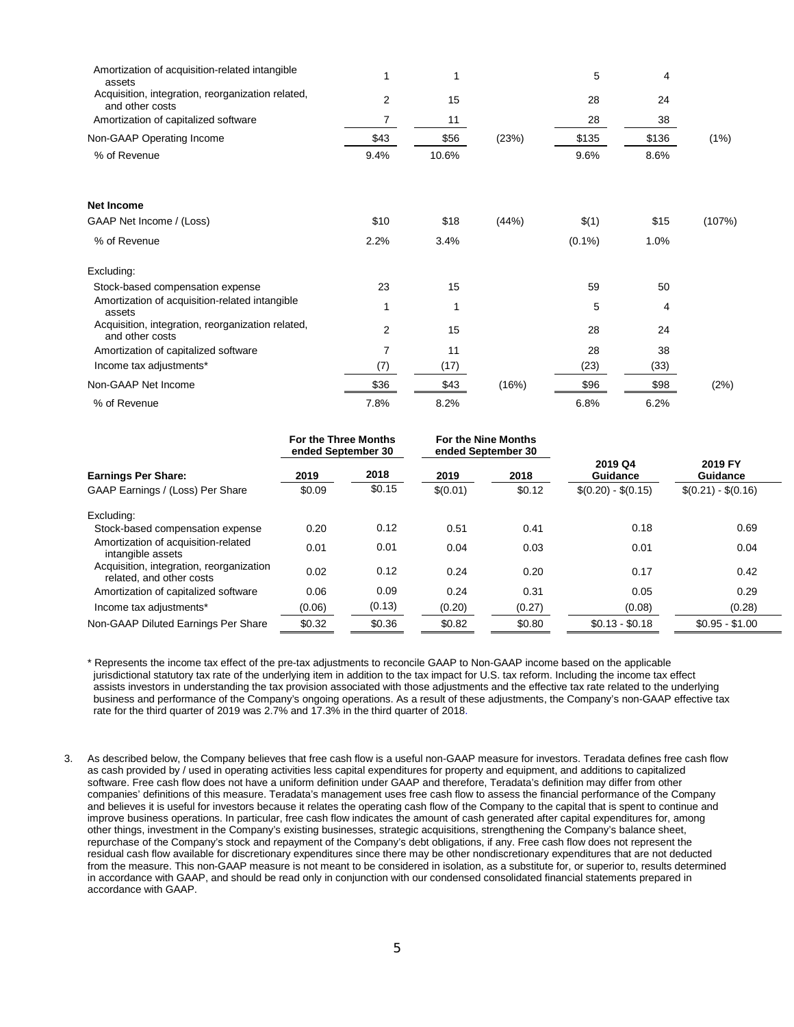| Amortization of acquisition-related intangible<br>assets             |      |       |       | 5         | 4     |        |
|----------------------------------------------------------------------|------|-------|-------|-----------|-------|--------|
| Acquisition, integration, reorganization related,<br>and other costs | 2    | 15    |       | 28        | 24    |        |
| Amortization of capitalized software                                 | 7    | 11    |       | 28        | 38    |        |
| Non-GAAP Operating Income                                            | \$43 | \$56  | (23%) | \$135     | \$136 | (1%)   |
| % of Revenue                                                         | 9.4% | 10.6% |       | 9.6%      | 8.6%  |        |
| Net Income                                                           |      |       |       |           |       |        |
| GAAP Net Income / (Loss)                                             | \$10 | \$18  | (44%) | \$(1)     | \$15  | (107%) |
| % of Revenue                                                         | 2.2% | 3.4%  |       | $(0.1\%)$ | 1.0%  |        |
| Excluding:                                                           |      |       |       |           |       |        |
| Stock-based compensation expense                                     | 23   | 15    |       | 59        | 50    |        |
| Amortization of acquisition-related intangible<br>assets             |      |       |       | 5         | 4     |        |
| Acquisition, integration, reorganization related,<br>and other costs | 2    | 15    |       | 28        | 24    |        |
| Amortization of capitalized software                                 | 7    | 11    |       | 28        | 38    |        |
| Income tax adjustments*                                              | (7)  | (17)  |       | (23)      | (33)  |        |
| Non-GAAP Net Income                                                  | \$36 | \$43  | (16%) | \$96      | \$98  | (2%)   |
| % of Revenue                                                         | 7.8% | 8.2%  |       | 6.8%      | 6.2%  |        |

|                                                                      | For the Three Months<br>ended September 30 |        | <b>For the Nine Months</b><br>ended September 30 |        |                     |                     |
|----------------------------------------------------------------------|--------------------------------------------|--------|--------------------------------------------------|--------|---------------------|---------------------|
| <b>Earnings Per Share:</b>                                           | 2019                                       | 2018   | 2019                                             | 2018   | 2019 Q4<br>Guidance | 2019 FY<br>Guidance |
| GAAP Earnings / (Loss) Per Share                                     | \$0.09                                     | \$0.15 | \$(0.01)                                         | \$0.12 | $$(0.20) - $(0.15)$ | $$(0.21) - $(0.16)$ |
| Excluding:                                                           |                                            |        |                                                  |        |                     |                     |
| Stock-based compensation expense                                     | 0.20                                       | 0.12   | 0.51                                             | 0.41   | 0.18                | 0.69                |
| Amortization of acquisition-related<br>intangible assets             | 0.01                                       | 0.01   | 0.04                                             | 0.03   | 0.01                | 0.04                |
| Acquisition, integration, reorganization<br>related, and other costs | 0.02                                       | 0.12   | 0.24                                             | 0.20   | 0.17                | 0.42                |
| Amortization of capitalized software                                 | 0.06                                       | 0.09   | 0.24                                             | 0.31   | 0.05                | 0.29                |
| Income tax adjustments*                                              | (0.06)                                     | (0.13) | (0.20)                                           | (0.27) | (0.08)              | (0.28)              |
| Non-GAAP Diluted Earnings Per Share                                  | \$0.32                                     | \$0.36 | \$0.82                                           | \$0.80 | $$0.13 - $0.18$     | $$0.95 - $1.00$     |

\* Represents the income tax effect of the pre-tax adjustments to reconcile GAAP to Non-GAAP income based on the applicable jurisdictional statutory tax rate of the underlying item in addition to the tax impact for U.S. tax reform. Including the income tax effect assists investors in understanding the tax provision associated with those adjustments and the effective tax rate related to the underlying business and performance of the Company's ongoing operations. As a result of these adjustments, the Company's non-GAAP effective tax rate for the third quarter of 2019 was 2.7% and 17.3% in the third quarter of 2018.

3. As described below, the Company believes that free cash flow is a useful non-GAAP measure for investors. Teradata defines free cash flow as cash provided by / used in operating activities less capital expenditures for property and equipment, and additions to capitalized software. Free cash flow does not have a uniform definition under GAAP and therefore, Teradata's definition may differ from other companies' definitions of this measure. Teradata's management uses free cash flow to assess the financial performance of the Company and believes it is useful for investors because it relates the operating cash flow of the Company to the capital that is spent to continue and improve business operations. In particular, free cash flow indicates the amount of cash generated after capital expenditures for, among other things, investment in the Company's existing businesses, strategic acquisitions, strengthening the Company's balance sheet, repurchase of the Company's stock and repayment of the Company's debt obligations, if any. Free cash flow does not represent the residual cash flow available for discretionary expenditures since there may be other nondiscretionary expenditures that are not deducted from the measure. This non-GAAP measure is not meant to be considered in isolation, as a substitute for, or superior to, results determined in accordance with GAAP, and should be read only in conjunction with our condensed consolidated financial statements prepared in accordance with GAAP.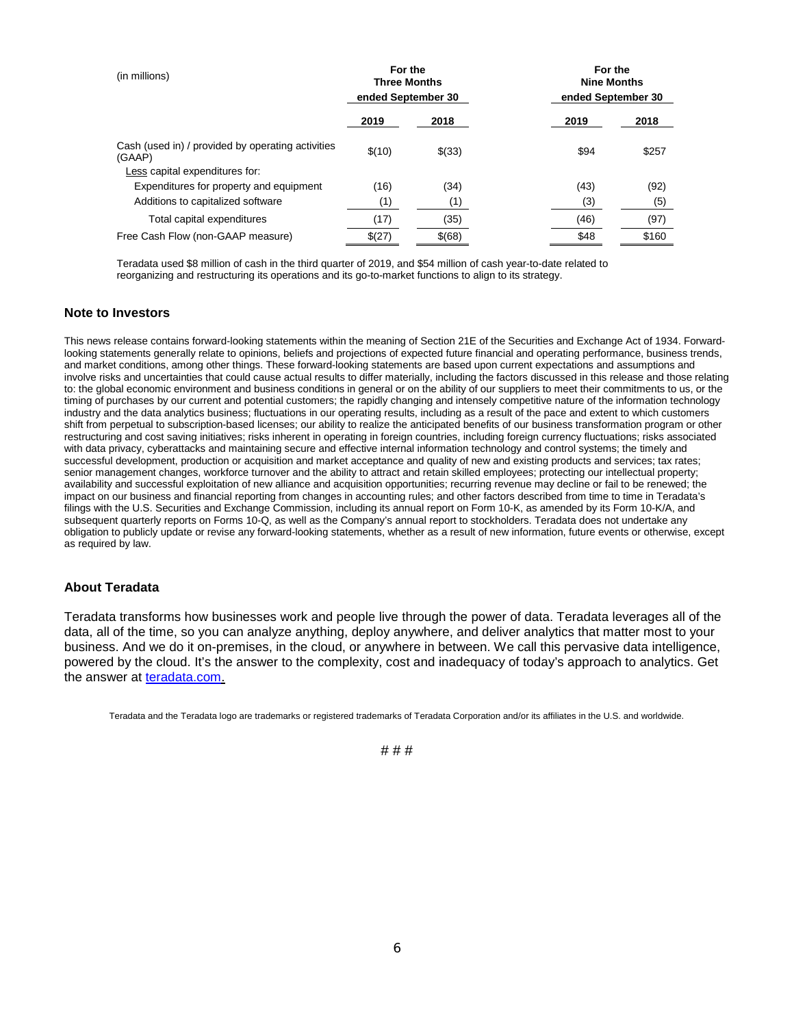| (in millions)                                                                                 | For the<br><b>Three Months</b><br>ended September 30 |        | For the<br><b>Nine Months</b><br>ended September 30 |       |  |  |  |
|-----------------------------------------------------------------------------------------------|------------------------------------------------------|--------|-----------------------------------------------------|-------|--|--|--|
|                                                                                               | 2019                                                 | 2018   | 2019                                                | 2018  |  |  |  |
| Cash (used in) / provided by operating activities<br>(GAAP)<br>Less capital expenditures for: | \$(10)                                               | \$(33) | \$94                                                | \$257 |  |  |  |
| Expenditures for property and equipment                                                       | (16)                                                 | (34)   | (43)                                                | (92)  |  |  |  |
| Additions to capitalized software                                                             | (1)                                                  | (1)    | (3)                                                 | (5)   |  |  |  |
| Total capital expenditures                                                                    | (17)                                                 | (35)   | (46)                                                | (97)  |  |  |  |
| Free Cash Flow (non-GAAP measure)                                                             | \$(27)                                               | \$(68) | \$48                                                | \$160 |  |  |  |

Teradata used \$8 million of cash in the third quarter of 2019, and \$54 million of cash year-to-date related to reorganizing and restructuring its operations and its go-to-market functions to align to its strategy.

### **Note to Investors**

This news release contains forward-looking statements within the meaning of Section 21E of the Securities and Exchange Act of 1934. Forwardlooking statements generally relate to opinions, beliefs and projections of expected future financial and operating performance, business trends, and market conditions, among other things. These forward-looking statements are based upon current expectations and assumptions and involve risks and uncertainties that could cause actual results to differ materially, including the factors discussed in this release and those relating to: the global economic environment and business conditions in general or on the ability of our suppliers to meet their commitments to us, or the timing of purchases by our current and potential customers; the rapidly changing and intensely competitive nature of the information technology industry and the data analytics business; fluctuations in our operating results, including as a result of the pace and extent to which customers shift from perpetual to subscription-based licenses; our ability to realize the anticipated benefits of our business transformation program or other restructuring and cost saving initiatives; risks inherent in operating in foreign countries, including foreign currency fluctuations; risks associated with data privacy, cyberattacks and maintaining secure and effective internal information technology and control systems; the timely and successful development, production or acquisition and market acceptance and quality of new and existing products and services; tax rates; senior management changes, workforce turnover and the ability to attract and retain skilled employees; protecting our intellectual property; availability and successful exploitation of new alliance and acquisition opportunities; recurring revenue may decline or fail to be renewed; the impact on our business and financial reporting from changes in accounting rules; and other factors described from time to time in Teradata's filings with the U.S. Securities and Exchange Commission, including its annual report on Form 10-K, as amended by its Form 10-K/A, and subsequent quarterly reports on Forms 10-Q, as well as the Company's annual report to stockholders. Teradata does not undertake any obligation to publicly update or revise any forward-looking statements, whether as a result of new information, future events or otherwise, except as required by law.

# **About Teradata**

Teradata transforms how businesses work and people live through the power of data. Teradata leverages all of the data, all of the time, so you can analyze anything, deploy anywhere, and deliver analytics that matter most to your business. And we do it on-premises, in the cloud, or anywhere in between. We call this pervasive data intelligence, powered by the cloud. It's the answer to the complexity, cost and inadequacy of today's approach to analytics. Get the answer at [teradata.com.](http://www.teradata.com/)

Teradata and the Teradata logo are trademarks or registered trademarks of Teradata Corporation and/or its affiliates in the U.S. and worldwide.

### # # #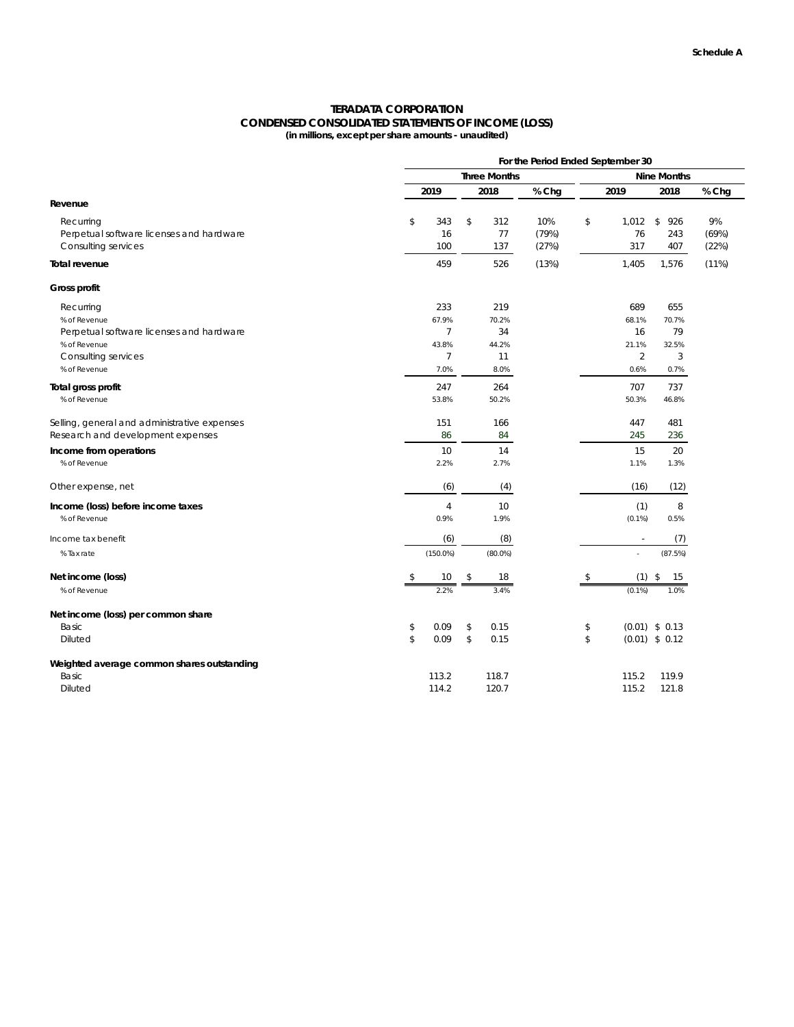### **TERADATA CORPORATION CONDENSED CONSOLIDATED STATEMENTS OF INCOME (LOSS) (in millions, except per share amounts - unaudited)**

|                                              | For the Period Ended September 30 |                     |                |            |       |    |                          |                    |       |  |
|----------------------------------------------|-----------------------------------|---------------------|----------------|------------|-------|----|--------------------------|--------------------|-------|--|
|                                              |                                   | <b>Three Months</b> |                |            |       |    |                          | <b>Nine Months</b> |       |  |
|                                              | 2019                              |                     |                | 2018       | % Chg |    | 2019                     | 2018               | % Chg |  |
| Revenue                                      |                                   |                     |                |            |       |    |                          |                    |       |  |
| Recurring                                    | \$                                | 343                 | \$             | 312        | 10%   | \$ | 1,012                    | \$<br>926          | 9%    |  |
| Perpetual software licenses and hardware     |                                   | 16                  |                | 77         | (79%) |    | 76                       | 243                | (69%) |  |
| Consulting services                          |                                   | 100                 |                | 137        | (27%) |    | 317                      | 407                | (22%) |  |
| Total revenue                                |                                   | 459                 |                | 526        | (13%) |    | 1,405                    | 1,576              | (11%) |  |
| Gross profit                                 |                                   |                     |                |            |       |    |                          |                    |       |  |
| Recurring                                    |                                   | 233                 |                | 219        |       |    | 689                      | 655                |       |  |
| % of Revenue                                 |                                   | 67.9%               |                | 70.2%      |       |    | 68.1%                    | 70.7%              |       |  |
| Perpetual software licenses and hardware     |                                   | 7                   |                | 34         |       |    | 16                       | 79                 |       |  |
| % of Revenue                                 |                                   | 43.8%               |                | 44.2%      |       |    | 21.1%                    | 32.5%              |       |  |
| Consulting services                          |                                   | $\overline{7}$      |                | 11         |       |    | $\overline{2}$           | 3                  |       |  |
| % of Revenue                                 |                                   | 7.0%                |                | 8.0%       |       |    | 0.6%                     | 0.7%               |       |  |
| Total gross profit                           |                                   | 247                 |                | 264        |       |    | 707                      | 737                |       |  |
| % of Revenue                                 |                                   | 53.8%               |                | 50.2%      |       |    | 50.3%                    | 46.8%              |       |  |
| Selling, general and administrative expenses |                                   | 151                 |                | 166        |       |    | 447                      | 481                |       |  |
| Research and development expenses            |                                   | 86                  |                | 84         |       |    | 245                      | 236                |       |  |
| Income from operations                       |                                   | 10                  |                | 14         |       |    | 15                       | 20                 |       |  |
| % of Revenue                                 |                                   | 2.2%                |                | 2.7%       |       |    | 1.1%                     | 1.3%               |       |  |
| Other expense, net                           |                                   | (6)                 |                | (4)        |       |    | (16)                     | (12)               |       |  |
| Income (loss) before income taxes            |                                   | $\overline{4}$      |                | 10         |       |    | (1)                      | 8                  |       |  |
| % of Revenue                                 |                                   | 0.9%                |                | 1.9%       |       |    | $(0.1\%)$                | 0.5%               |       |  |
| Income tax benefit                           |                                   | (6)                 |                | (8)        |       |    | $\overline{\phantom{a}}$ | (7)                |       |  |
| % Tax rate                                   |                                   | $(150.0\%)$         |                | $(80.0\%)$ |       |    | L.                       | (87.5%)            |       |  |
| Net income (loss)                            | \$                                | 10                  | \$             | 18         |       | \$ | $(1)$ \$                 | 15                 |       |  |
| % of Revenue                                 |                                   | 2.2%                |                | 3.4%       |       |    | $(0.1\%)$                | 1.0%               |       |  |
| Net income (loss) per common share           |                                   |                     |                |            |       |    |                          |                    |       |  |
| Basic                                        | \$                                | 0.09                | \$             | 0.15       |       | \$ |                          | $(0.01)$ \$ 0.13   |       |  |
| <b>Diluted</b>                               | $\mathsf{\$}$                     | 0.09                | $$\mathbb{S}$$ | 0.15       |       | \$ |                          | $(0.01)$ \$ 0.12   |       |  |
| Weighted average common shares outstanding   |                                   |                     |                |            |       |    |                          |                    |       |  |
| Basic                                        |                                   | 113.2               |                | 118.7      |       |    | 115.2                    | 119.9              |       |  |
| <b>Diluted</b>                               |                                   | 114.2               |                | 120.7      |       |    | 115.2                    | 121.8              |       |  |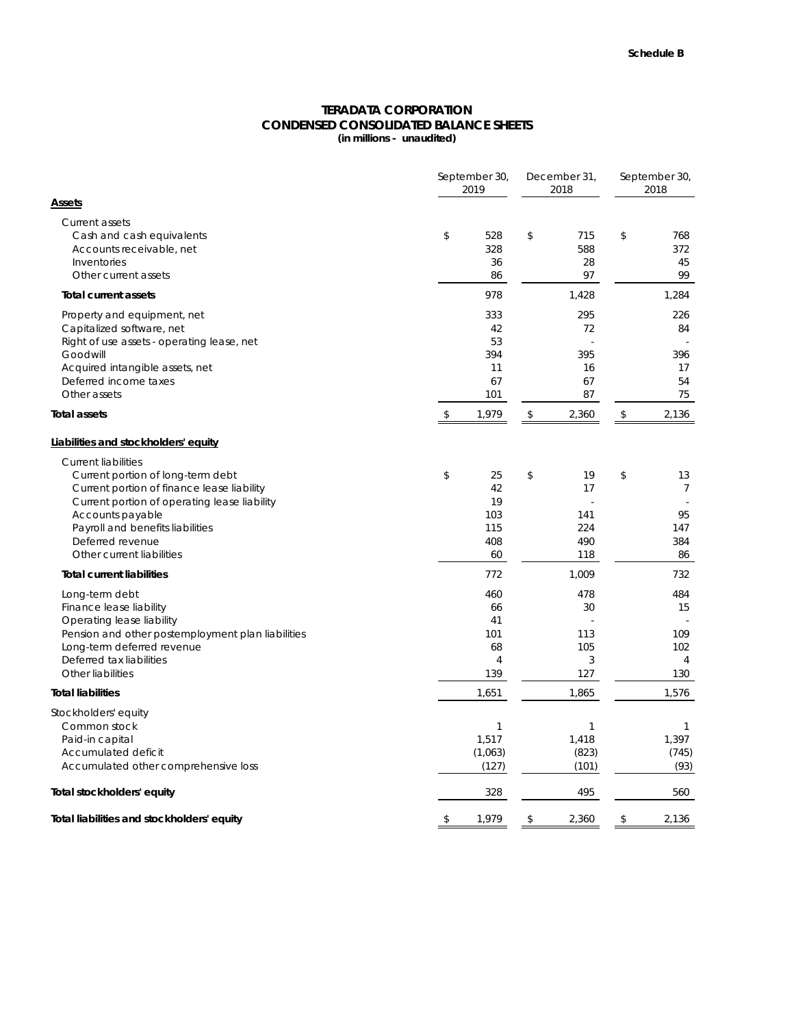### **CONDENSED CONSOLIDATED BALANCE SHEETS (in millions - unaudited) TERADATA CORPORATION**

|                                                                                                                                                                                                                                                                        | September 30,<br>2019                                 |    |                                         | September 30,<br>2018 |                                                  |  |
|------------------------------------------------------------------------------------------------------------------------------------------------------------------------------------------------------------------------------------------------------------------------|-------------------------------------------------------|----|-----------------------------------------|-----------------------|--------------------------------------------------|--|
| <u>Assets</u>                                                                                                                                                                                                                                                          |                                                       |    |                                         |                       |                                                  |  |
| <b>Current assets</b><br>Cash and cash equivalents<br>Accounts receivable, net<br>Inventories<br>Other current assets                                                                                                                                                  | \$<br>528<br>328<br>36<br>86                          | \$ | 715<br>588<br>28<br>97                  | \$                    | 768<br>372<br>45<br>99                           |  |
| <b>Total current assets</b>                                                                                                                                                                                                                                            | 978                                                   |    | 1,428                                   |                       | 1,284                                            |  |
| Property and equipment, net<br>Capitalized software, net<br>Right of use assets - operating lease, net<br>Goodwill<br>Acquired intangible assets, net<br>Deferred income taxes<br>Other assets                                                                         | 333<br>42<br>53<br>394<br>11<br>67<br>101             |    | 295<br>72<br>395<br>16<br>67<br>87      |                       | 226<br>84<br>396<br>17<br>54<br>75               |  |
| Total assets                                                                                                                                                                                                                                                           | \$<br>1,979                                           | \$ | 2,360                                   | $\,$                  | 2,136                                            |  |
| Liabilities and stockholders' equity                                                                                                                                                                                                                                   |                                                       |    |                                         |                       |                                                  |  |
| <b>Current liabilities</b><br>Current portion of long-term debt<br>Current portion of finance lease liability<br>Current portion of operating lease liability<br>Accounts payable<br>Payroll and benefits liabilities<br>Deferred revenue<br>Other current liabilities | \$<br>25<br>42<br>19<br>103<br>115<br>408<br>60       | \$ | 19<br>17<br>141<br>224<br>490<br>118    | \$                    | 13<br>7<br>95<br>147<br>384<br>86                |  |
| <b>Total current liabilities</b>                                                                                                                                                                                                                                       | 772                                                   |    | 1,009                                   |                       | 732                                              |  |
| Long-term debt<br>Finance lease liability<br>Operating lease liability<br>Pension and other postemployment plan liabilities<br>Long-term deferred revenue<br>Deferred tax liabilities<br>Other liabilities                                                             | 460<br>66<br>41<br>101<br>68<br>$\overline{4}$<br>139 |    | 478<br>30<br>113<br>105<br>3<br>127     |                       | 484<br>15<br>109<br>102<br>$\overline{4}$<br>130 |  |
| <b>Total liabilities</b>                                                                                                                                                                                                                                               | 1,651                                                 |    | 1,865                                   |                       | 1,576                                            |  |
| Stockholders' equity<br>Common stock<br>Paid-in capital<br>Accumulated deficit<br>Accumulated other comprehensive loss                                                                                                                                                 | $\mathbf{1}$<br>1,517<br>(1,063)<br>(127)             |    | $\mathbf{1}$<br>1,418<br>(823)<br>(101) |                       | $\mathbf{1}$<br>1,397<br>(745)<br>(93)           |  |
| Total stockholders' equity                                                                                                                                                                                                                                             | 328                                                   |    | 495                                     |                       | 560                                              |  |
| Total liabilities and stockholders' equity                                                                                                                                                                                                                             | \$<br>1,979                                           | \$ | 2,360                                   | \$                    | 2,136                                            |  |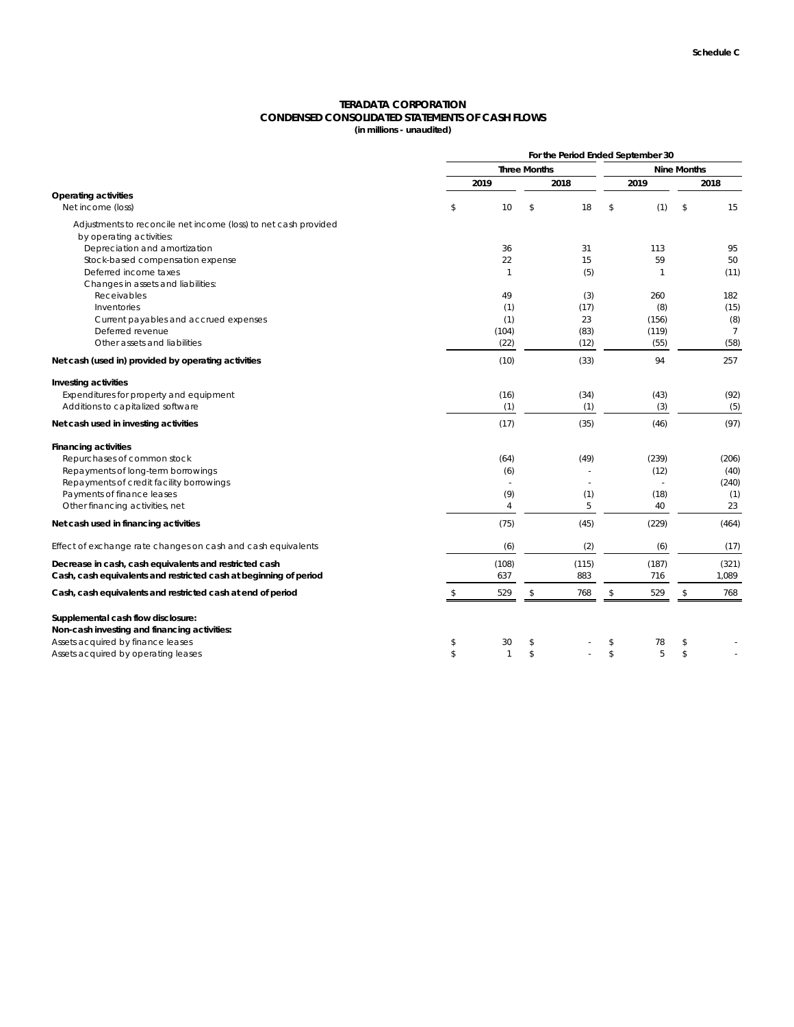# **TERADATA CORPORATION CONDENSED CONSOLIDATED STATEMENTS OF CASH FLOWS**

**(in millions - unaudited)**

|                                                                                             | For the Period Ended September 30 |                       |                     |              |      |                |      |                        |  |
|---------------------------------------------------------------------------------------------|-----------------------------------|-----------------------|---------------------|--------------|------|----------------|------|------------------------|--|
|                                                                                             |                                   |                       | <b>Three Months</b> |              |      |                |      | <b>Nine Months</b>     |  |
|                                                                                             |                                   | 2019                  |                     | 2018         | 2019 |                | 2018 |                        |  |
| <b>Operating activities</b><br>Net income (loss)                                            | \$                                | 10                    | \$                  | 18           | \$   | (1)            | \$   | 15                     |  |
| Adjustments to reconcile net income (loss) to net cash provided<br>by operating activities: |                                   |                       |                     |              |      |                |      |                        |  |
| Depreciation and amortization                                                               |                                   | 36                    |                     | 31           |      | 113            |      | 95                     |  |
| Stock-based compensation expense                                                            |                                   | 22                    |                     | 15           |      | 59             |      | 50                     |  |
| Deferred income taxes                                                                       |                                   | $\mathbf{1}$          |                     | (5)          |      | 1              |      | (11)                   |  |
| Changes in assets and liabilities:                                                          |                                   |                       |                     |              |      |                |      |                        |  |
| Receivables                                                                                 |                                   | 49                    |                     | (3)          |      | 260            |      | 182                    |  |
| Inventories                                                                                 |                                   | (1)                   |                     | (17)         |      | (8)            |      | (15)                   |  |
| Current payables and accrued expenses                                                       |                                   | (1)                   |                     | 23           |      | (156)          |      | (8)                    |  |
| Deferred revenue<br>Other assets and liabilities                                            |                                   | (104)<br>(22)         |                     | (83)<br>(12) |      | (119)<br>(55)  |      | $\overline{7}$<br>(58) |  |
|                                                                                             |                                   |                       |                     |              |      |                |      |                        |  |
| Net cash (used in) provided by operating activities                                         |                                   | (10)                  |                     | (33)         |      | 94             |      | 257                    |  |
| Investing activities                                                                        |                                   |                       |                     |              |      |                |      |                        |  |
| Expenditures for property and equipment                                                     |                                   | (16)                  |                     | (34)         |      | (43)           |      | (92)                   |  |
| Additions to capitalized software                                                           |                                   | (1)                   |                     | (1)          |      | (3)            |      | (5)                    |  |
| Net cash used in investing activities                                                       |                                   | (17)                  |                     | (35)         |      | (46)           |      | (97)                   |  |
| <b>Financing activities</b>                                                                 |                                   |                       |                     |              |      |                |      |                        |  |
| Repurchases of common stock                                                                 |                                   | (64)                  |                     | (49)         |      | (239)          |      | (206)                  |  |
| Repayments of long-term borrowings                                                          |                                   | (6)                   |                     |              |      | (12)           |      | (40)                   |  |
| Repayments of credit facility borrowings                                                    |                                   | $\overline{a}$        |                     | ÷            |      | $\overline{a}$ |      | (240)                  |  |
| Payments of finance leases<br>Other financing activities, net                               |                                   | (9)<br>$\overline{4}$ |                     | (1)<br>5     |      | (18)<br>40     |      | (1)<br>23              |  |
|                                                                                             |                                   |                       |                     |              |      |                |      |                        |  |
| Net cash used in financing activities                                                       |                                   | (75)                  |                     | (45)         |      | (229)          |      | (464)                  |  |
| Effect of exchange rate changes on cash and cash equivalents                                |                                   | (6)                   |                     | (2)          |      | (6)            |      | (17)                   |  |
| Decrease in cash, cash equivalents and restricted cash                                      |                                   | (108)                 |                     | (115)        |      | (187)          |      | (321)                  |  |
| Cash, cash equivalents and restricted cash at beginning of period                           |                                   | 637                   |                     | 883          |      | 716            |      | 1,089                  |  |
| Cash, cash equivalents and restricted cash at end of period                                 | \$                                | 529                   | \$                  | 768          | \$   | 529            | \$   | 768                    |  |
| Supplemental cash flow disclosure:                                                          |                                   |                       |                     |              |      |                |      |                        |  |
| Non-cash investing and financing activities:                                                |                                   |                       |                     |              |      |                |      |                        |  |
| Assets acquired by finance leases                                                           | \$                                | 30                    | \$                  |              | \$   | 78             | \$   |                        |  |
| Assets acquired by operating leases                                                         | \$                                | $\mathbf{1}$          | \$                  |              | \$   | 5              | \$   |                        |  |